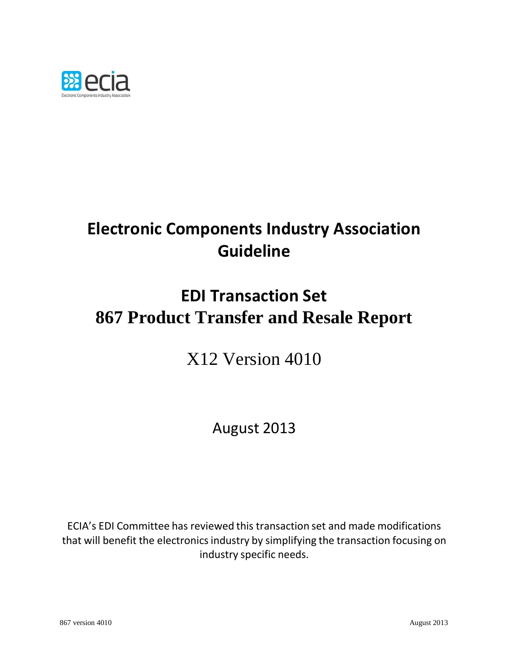

# **Electronic Components Industry Association Guideline**

# **EDI Transaction Set 867 Product Transfer and Resale Report**

X12 Version 4010

August 2013

ECIA's EDI Committee has reviewed this transaction set and made modifications that will benefit the electronics industry by simplifying the transaction focusing on industry specific needs.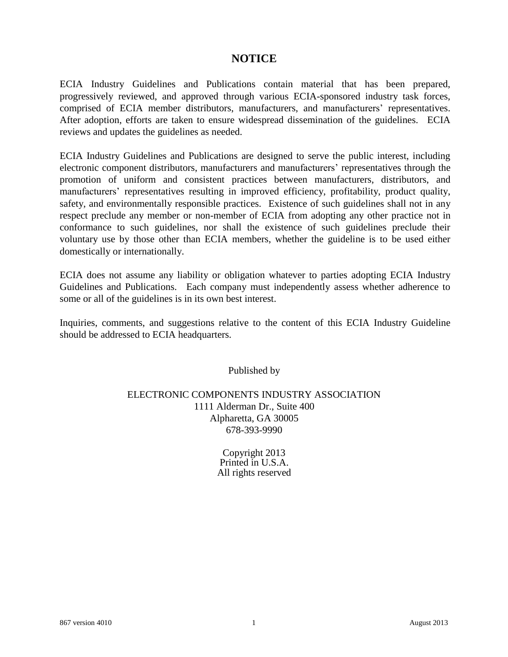## **NOTICE**

ECIA Industry Guidelines and Publications contain material that has been prepared, progressively reviewed, and approved through various ECIA-sponsored industry task forces, comprised of ECIA member distributors, manufacturers, and manufacturers' representatives. After adoption, efforts are taken to ensure widespread dissemination of the guidelines. ECIA reviews and updates the guidelines as needed.

ECIA Industry Guidelines and Publications are designed to serve the public interest, including electronic component distributors, manufacturers and manufacturers' representatives through the promotion of uniform and consistent practices between manufacturers, distributors, and manufacturers' representatives resulting in improved efficiency, profitability, product quality, safety, and environmentally responsible practices. Existence of such guidelines shall not in any respect preclude any member or non-member of ECIA from adopting any other practice not in conformance to such guidelines, nor shall the existence of such guidelines preclude their voluntary use by those other than ECIA members, whether the guideline is to be used either domestically or internationally.

ECIA does not assume any liability or obligation whatever to parties adopting ECIA Industry Guidelines and Publications. Each company must independently assess whether adherence to some or all of the guidelines is in its own best interest.

Inquiries, comments, and suggestions relative to the content of this ECIA Industry Guideline should be addressed to ECIA headquarters.

Published by

### ELECTRONIC COMPONENTS INDUSTRY ASSOCIATION 1111 Alderman Dr., Suite 400 Alpharetta, GA 30005 678-393-9990

Copyright 2013 Printed in U.S.A. All rights reserved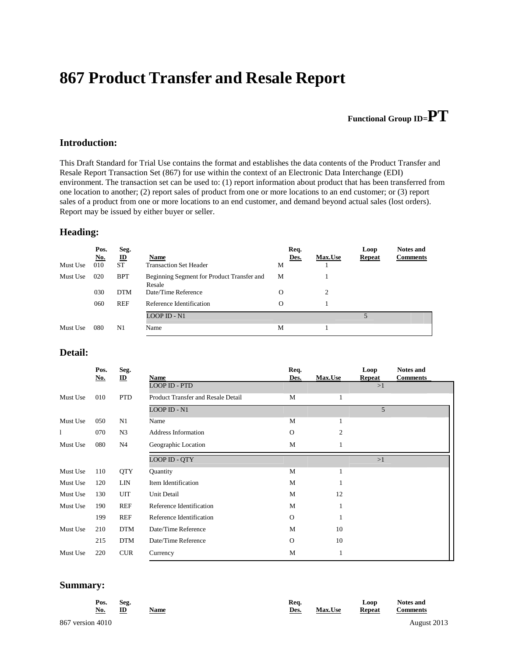## **867 Product Transfer and Resale Report**

## **Functional Group ID=PT**

#### **Introduction:**

This Draft Standard for Trial Use contains the format and establishes the data contents of the Product Transfer and Resale Report Transaction Set (867) for use within the context of an Electronic Data Interchange (EDI) environment. The transaction set can be used to: (1) report information about product that has been transferred from one location to another; (2) report sales of product from one or more locations to an end customer; or (3) report sales of a product from one or more locations to an end customer, and demand beyond actual sales (lost orders). Report may be issued by either buyer or seller.

#### **Heading:**

|          | Pos.       | Seg.                     |                                                      | Req.     |                | Loop          | <b>Notes and</b> |
|----------|------------|--------------------------|------------------------------------------------------|----------|----------------|---------------|------------------|
|          | <u>No.</u> | $\underline{\mathbf{D}}$ | Name                                                 | Des.     | <b>Max.Use</b> | <b>Repeat</b> | <b>Comments</b>  |
| Must Use | 010        | <b>ST</b>                | <b>Transaction Set Header</b>                        | М        |                |               |                  |
| Must Use | 020        | <b>BPT</b>               | Beginning Segment for Product Transfer and<br>Resale | M        |                |               |                  |
|          | 030        | <b>DTM</b>               | Date/Time Reference                                  | $\Omega$ | 2              |               |                  |
|          | 060        | <b>REF</b>               | Reference Identification                             | O        |                |               |                  |
|          |            |                          | LOOP ID - N1                                         |          |                |               |                  |
| Must Use | 080        | N1                       | Name                                                 | M        |                |               |                  |

#### **Detail:**

|          | Pos.<br><u>No.</u> | Seg.<br>$\mathbf{D}$ | Name                               | Req.<br>Des. | <b>Max.Use</b> | Loop<br><b>Repeat</b> | <b>Notes and</b><br><b>Comments</b> |
|----------|--------------------|----------------------|------------------------------------|--------------|----------------|-----------------------|-------------------------------------|
|          |                    |                      | LOOP ID - PTD                      |              |                | >1                    |                                     |
| Must Use | 010                | <b>PTD</b>           | Product Transfer and Resale Detail | M            | 1              |                       |                                     |
|          |                    |                      | <b>LOOP ID - N1</b>                |              |                | 5                     |                                     |
| Must Use | 050                | N1                   | Name                               | M            | 1              |                       |                                     |
|          | 070                | N <sub>3</sub>       | <b>Address Information</b>         | $\mathbf{O}$ | 2              |                       |                                     |
| Must Use | 080                | N <sub>4</sub>       | Geographic Location                | M            | 1              |                       |                                     |
|          |                    |                      | LOOP ID - QTY                      |              |                | >1                    |                                     |
| Must Use | 110                | <b>QTY</b>           | Quantity                           | M            | 1              |                       |                                     |
| Must Use | 120                | <b>LIN</b>           | Item Identification                | M            |                |                       |                                     |
| Must Use | 130                | <b>UIT</b>           | Unit Detail                        | M            | 12             |                       |                                     |
| Must Use | 190                | <b>REF</b>           | Reference Identification           | M            | 1              |                       |                                     |
|          | 199                | <b>REF</b>           | Reference Identification           | $\Omega$     | 1              |                       |                                     |
| Must Use | 210                | <b>DTM</b>           | Date/Time Reference                | M            | 10             |                       |                                     |
|          | 215                | <b>DTM</b>           | Date/Time Reference                | $\mathbf{O}$ | 10             |                       |                                     |
| Must Use | 220                | <b>CUR</b>           | Currency                           | M            | 1              |                       |                                     |

#### **Summary:**

| Pos.<br>No.      | Seg.<br>ID | Name | Req.<br>Des. | Max.Use | Loop<br><b>Repeat</b> | <b>Notes and</b><br><b>Comments</b> |  |
|------------------|------------|------|--------------|---------|-----------------------|-------------------------------------|--|
| 867 version 4010 |            |      |              |         |                       | August 2013                         |  |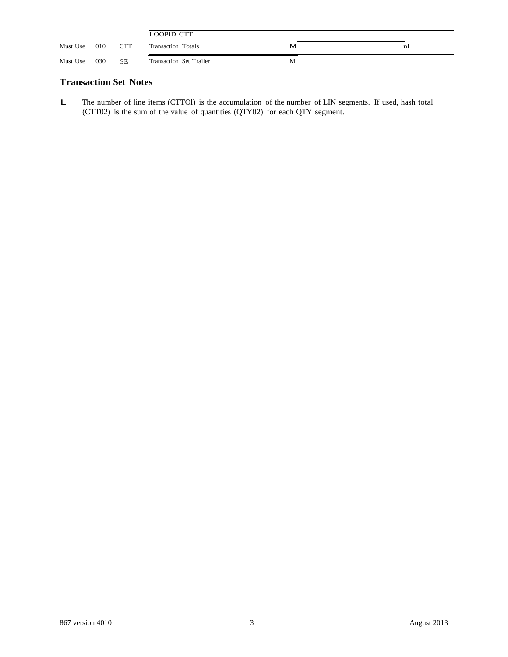|          |     |            | LOOPID-CTT                |   |    |
|----------|-----|------------|---------------------------|---|----|
| Must Use | 010 | <b>CTT</b> | <b>Transaction Totals</b> | м | nl |
| Must Use | 030 | SE         | Transaction Set Trailer   | M |    |

#### **Transaction Set Notes**

**L** The number of line items (CTTOl) is the accumulation of the number of LIN segments. If used, hash total (CTT02) is the sum of the value of quantities (QTY02) for each QTY segment.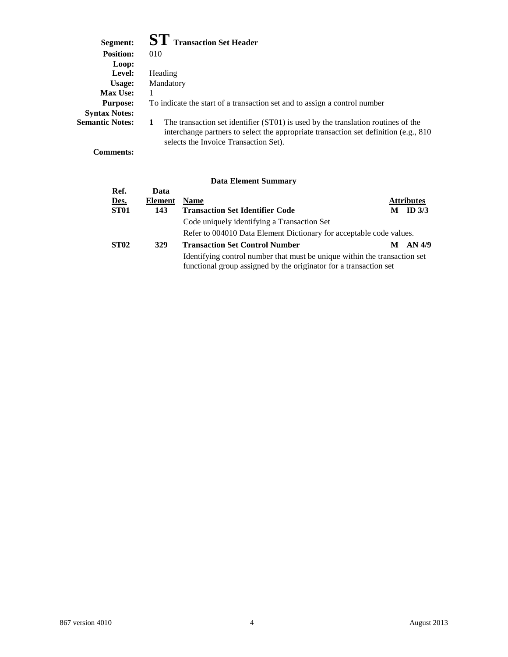## **Segment: ST Transaction Set Header**

| эегшені:               |                                                                                                                                                                                                                       |
|------------------------|-----------------------------------------------------------------------------------------------------------------------------------------------------------------------------------------------------------------------|
| <b>Position:</b>       | 010                                                                                                                                                                                                                   |
| Loop:                  |                                                                                                                                                                                                                       |
| Level:                 | Heading                                                                                                                                                                                                               |
| Usage:                 | Mandatory                                                                                                                                                                                                             |
| <b>Max Use:</b>        |                                                                                                                                                                                                                       |
| <b>Purpose:</b>        | To indicate the start of a transaction set and to assign a control number                                                                                                                                             |
| <b>Syntax Notes:</b>   |                                                                                                                                                                                                                       |
| <b>Semantic Notes:</b> | The transaction set identifier (ST01) is used by the translation routines of the<br>interchange partners to select the appropriate transaction set definition (e.g., $810$ )<br>selects the Invoice Transaction Set). |

**Comments:**

| Ref.             | Data    |                                                                                                                                                |   |                   |
|------------------|---------|------------------------------------------------------------------------------------------------------------------------------------------------|---|-------------------|
| Des.             | Element | <b>Name</b>                                                                                                                                    |   | <b>Attributes</b> |
| ST <sub>01</sub> | 143     | <b>Transaction Set Identifier Code</b>                                                                                                         | M | ID $3/3$          |
|                  |         | Code uniquely identifying a Transaction Set                                                                                                    |   |                   |
|                  |         | Refer to 004010 Data Element Dictionary for acceptable code values.                                                                            |   |                   |
| <b>ST02</b>      | 329     | <b>Transaction Set Control Number</b>                                                                                                          |   | AN 4/9            |
|                  |         | Identifying control number that must be unique within the transaction set<br>functional group assigned by the originator for a transaction set |   |                   |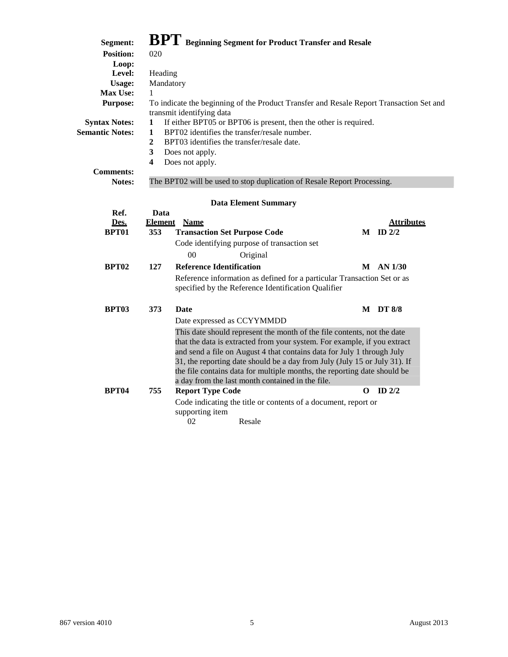| Segment:               |                         |                                                     | <b>BPT</b> Beginning Segment for Product Transfer and Resale                            |                   |
|------------------------|-------------------------|-----------------------------------------------------|-----------------------------------------------------------------------------------------|-------------------|
| <b>Position:</b>       | 020                     |                                                     |                                                                                         |                   |
| Loop:                  |                         |                                                     |                                                                                         |                   |
| Level:                 | Heading                 |                                                     |                                                                                         |                   |
| Usage:                 | Mandatory               |                                                     |                                                                                         |                   |
| Max Use:               | 1                       |                                                     |                                                                                         |                   |
| <b>Purpose:</b>        |                         |                                                     | To indicate the beginning of the Product Transfer and Resale Report Transaction Set and |                   |
|                        |                         | transmit identifying data                           |                                                                                         |                   |
| <b>Syntax Notes:</b>   | 1                       |                                                     | If either BPT05 or BPT06 is present, then the other is required.                        |                   |
| <b>Semantic Notes:</b> | $\mathbf{1}$            | BPT02 identifies the transfer/resale number.        |                                                                                         |                   |
|                        | $\overline{2}$          | BPT03 identifies the transfer/resale date.          |                                                                                         |                   |
|                        | 3                       | Does not apply.                                     |                                                                                         |                   |
|                        | $\overline{\mathbf{4}}$ | Does not apply.                                     |                                                                                         |                   |
| <b>Comments:</b>       |                         |                                                     |                                                                                         |                   |
| <b>Notes:</b>          |                         |                                                     | The BPT02 will be used to stop duplication of Resale Report Processing.                 |                   |
|                        |                         |                                                     |                                                                                         |                   |
|                        |                         | <b>Data Element Summary</b>                         |                                                                                         |                   |
| Ref.                   | Data                    |                                                     |                                                                                         |                   |
| Des.                   | <b>Element</b>          | <b>Name</b>                                         |                                                                                         | <b>Attributes</b> |
| BPT01                  | 353                     | <b>Transaction Set Purpose Code</b>                 |                                                                                         | $M$ ID $2/2$      |
|                        |                         | Code identifying purpose of transaction set         |                                                                                         |                   |
|                        |                         | 00<br>Original                                      |                                                                                         |                   |
| BPT <sub>02</sub>      | 127                     | <b>Reference Identification</b>                     |                                                                                         | <b>M</b> AN 1/30  |
|                        |                         |                                                     | Reference information as defined for a particular Transaction Set or as                 |                   |
|                        |                         | specified by the Reference Identification Qualifier |                                                                                         |                   |
|                        |                         |                                                     |                                                                                         |                   |
| <b>BPT03</b>           | 373                     | Date                                                |                                                                                         | <b>M</b> DT 8/8   |
|                        |                         | Date expressed as CCYYMMDD                          |                                                                                         |                   |
|                        |                         |                                                     | This date should represent the month of the file contents, not the date                 |                   |
|                        |                         |                                                     | that the data is extracted from your system. For example, if you extract                |                   |
|                        |                         |                                                     | and send a file on August 4 that contains data for July 1 through July                  |                   |
|                        |                         |                                                     | 31, the reporting date should be a day from July (July 15 or July 31). If               |                   |
|                        |                         |                                                     | the file contains data for multiple months, the reporting date should be                |                   |
|                        |                         | a day from the last month contained in the file.    |                                                                                         |                   |
| <b>BPT04</b>           | 755                     | <b>Report Type Code</b>                             | O                                                                                       | ID $2/2$          |
|                        |                         |                                                     | Code indicating the title or contents of a document, report or                          |                   |
|                        |                         | supporting item                                     |                                                                                         |                   |
|                        |                         | 02<br>Resale                                        |                                                                                         |                   |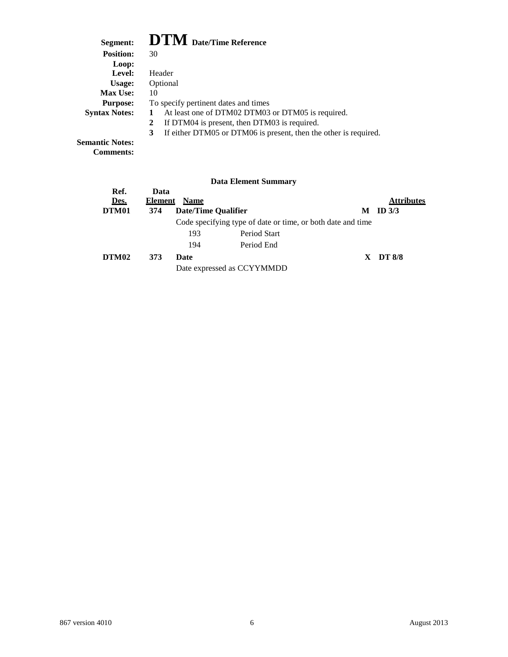## **Segment: DTM Date/Time Reference**

| редшени.               | $\mathbf{L}$ $\mathbf{L}$ $\mathbf{L}$ $\mathbf{V}$ $\mathbf{L}$ $\mathbf{L}$ $\mathbf{R}$ $\mathbf{R}$ $\mathbf{L}$ $\mathbf{R}$ $\mathbf{R}$ $\mathbf{R}$ $\mathbf{R}$ $\mathbf{R}$ $\mathbf{R}$ $\mathbf{R}$ $\mathbf{R}$ $\mathbf{R}$ $\mathbf{R}$ $\mathbf{R}$ $\mathbf{R}$ $\mathbf{R}$ $\mathbf{R}$ $\mathbf{R}$ $\mathbf{$ |
|------------------------|------------------------------------------------------------------------------------------------------------------------------------------------------------------------------------------------------------------------------------------------------------------------------------------------------------------------------------|
| <b>Position:</b>       | 30                                                                                                                                                                                                                                                                                                                                 |
| Loop:                  |                                                                                                                                                                                                                                                                                                                                    |
| Level:                 | Header                                                                                                                                                                                                                                                                                                                             |
| Usage:                 | Optional                                                                                                                                                                                                                                                                                                                           |
| <b>Max Use:</b>        | 10                                                                                                                                                                                                                                                                                                                                 |
| <b>Purpose:</b>        | To specify pertinent dates and times                                                                                                                                                                                                                                                                                               |
| <b>Syntax Notes:</b>   | At least one of DTM02 DTM03 or DTM05 is required.                                                                                                                                                                                                                                                                                  |
|                        | If DTM04 is present, then DTM03 is required.<br>2                                                                                                                                                                                                                                                                                  |
|                        | If either DTM05 or DTM06 is present, then the other is required.<br>3                                                                                                                                                                                                                                                              |
| <b>Semantic Notes:</b> |                                                                                                                                                                                                                                                                                                                                    |

**Comments:**

|              |                 |             | <b>Data Element Summary</b>                                 |   |                   |
|--------------|-----------------|-------------|-------------------------------------------------------------|---|-------------------|
| Ref.<br>Des. | Data<br>Element | <b>Name</b> |                                                             |   | <b>Attributes</b> |
| DTM01        | 374             |             | Date/Time Qualifier                                         | М | ID $3/3$          |
|              |                 |             | Code specifying type of date or time, or both date and time |   |                   |
|              |                 | 193         | Period Start                                                |   |                   |
|              |                 | 194         | Period End                                                  |   |                   |
| DTM02        | 373             | Date        |                                                             |   | $X$ DT 8/8        |
|              |                 |             | Date expressed as CCYYMMDD                                  |   |                   |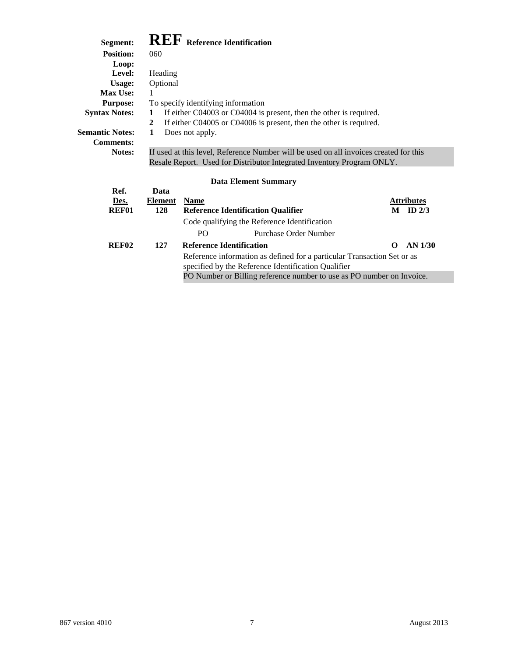## **Segment: REF Reference Identification**

| Segment:               | <b>INLI</b> Reference Identification |                                                                                                                                                                                                                                                                                                                                    |               |  |  |
|------------------------|--------------------------------------|------------------------------------------------------------------------------------------------------------------------------------------------------------------------------------------------------------------------------------------------------------------------------------------------------------------------------------|---------------|--|--|
| <b>Position:</b>       | 060                                  |                                                                                                                                                                                                                                                                                                                                    |               |  |  |
| Loop:                  |                                      |                                                                                                                                                                                                                                                                                                                                    |               |  |  |
| Level:                 | Heading                              |                                                                                                                                                                                                                                                                                                                                    |               |  |  |
| Usage:                 | Optional                             |                                                                                                                                                                                                                                                                                                                                    |               |  |  |
| <b>Max Use:</b>        | 1                                    |                                                                                                                                                                                                                                                                                                                                    |               |  |  |
| <b>Purpose:</b>        | To specify identifying information   |                                                                                                                                                                                                                                                                                                                                    |               |  |  |
| <b>Syntax Notes:</b>   | 1                                    | If either C04003 or C04004 is present, then the other is required.                                                                                                                                                                                                                                                                 |               |  |  |
|                        | 2                                    | If either C04005 or C04006 is present, then the other is required.                                                                                                                                                                                                                                                                 |               |  |  |
| <b>Semantic Notes:</b> | Does not apply.<br>1                 |                                                                                                                                                                                                                                                                                                                                    |               |  |  |
| <b>Comments:</b>       |                                      |                                                                                                                                                                                                                                                                                                                                    |               |  |  |
| Notes:                 |                                      | If used at this level, Reference Number will be used on all invoices created for this                                                                                                                                                                                                                                              |               |  |  |
|                        |                                      | Resale Report. Used for Distributor Integrated Inventory Program ONLY.                                                                                                                                                                                                                                                             |               |  |  |
|                        |                                      |                                                                                                                                                                                                                                                                                                                                    |               |  |  |
|                        |                                      | <b>Data Element Summary</b>                                                                                                                                                                                                                                                                                                        |               |  |  |
| Ref.                   | Data                                 |                                                                                                                                                                                                                                                                                                                                    |               |  |  |
| Des.                   | <b>Name</b><br>Element               |                                                                                                                                                                                                                                                                                                                                    | Attributes    |  |  |
| <b>REF01</b>           | 128                                  | <b>Reference Identification Qualifier</b>                                                                                                                                                                                                                                                                                          | ID $2/3$<br>М |  |  |
|                        |                                      | Code qualifying the Reference Identification                                                                                                                                                                                                                                                                                       |               |  |  |
|                        | $\mathbf{L}$                         | $\mathbb{R}$ $\mathbb{R}$ $\mathbb{R}$ $\mathbb{R}$ $\mathbb{R}$ $\mathbb{R}$ $\mathbb{R}$ $\mathbb{R}$ $\mathbb{R}$ $\mathbb{R}$ $\mathbb{R}$ $\mathbb{R}$ $\mathbb{R}$ $\mathbb{R}$ $\mathbb{R}$ $\mathbb{R}$ $\mathbb{R}$ $\mathbb{R}$ $\mathbb{R}$ $\mathbb{R}$ $\mathbb{R}$ $\mathbb{R}$ $\mathbb{R}$ $\mathbb{R}$ $\mathbb{$ |               |  |  |

|       |     | PO.                             | Purchase Order Number                                                   |             |
|-------|-----|---------------------------------|-------------------------------------------------------------------------|-------------|
| REF02 | 127 | <b>Reference Identification</b> |                                                                         | $O$ AN 1/30 |
|       |     |                                 | Reference information as defined for a particular Transaction Set or as |             |
|       |     |                                 | specified by the Reference Identification Qualifier                     |             |
|       |     |                                 | PO Number or Billing reference number to use as PO number on Invoice.   |             |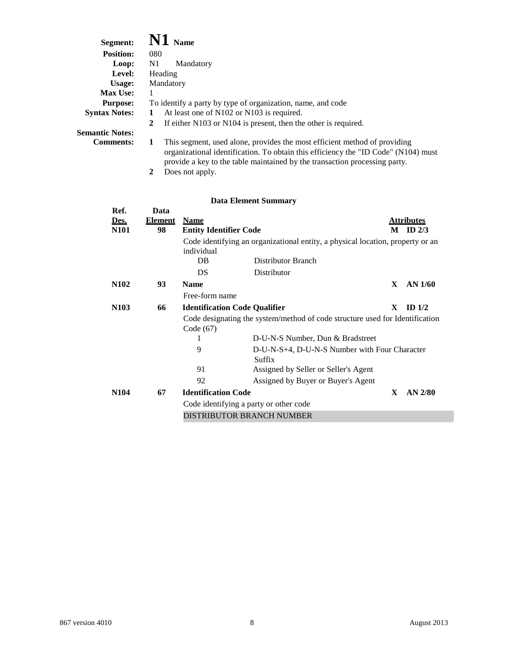| Segment:               | $\mathbf{N1}$ Name                                                                                                                                                                                                                            |
|------------------------|-----------------------------------------------------------------------------------------------------------------------------------------------------------------------------------------------------------------------------------------------|
| <b>Position:</b>       | 080                                                                                                                                                                                                                                           |
| Loop:                  | N1<br>Mandatory                                                                                                                                                                                                                               |
| Level:                 | Heading                                                                                                                                                                                                                                       |
| Usage:                 | Mandatory                                                                                                                                                                                                                                     |
| <b>Max Use:</b>        |                                                                                                                                                                                                                                               |
| <b>Purpose:</b>        | To identify a party by type of organization, name, and code                                                                                                                                                                                   |
| <b>Syntax Notes:</b>   | At least one of N102 or N103 is required.                                                                                                                                                                                                     |
|                        | If either N103 or N104 is present, then the other is required.<br>$\mathbf{2}$                                                                                                                                                                |
| <b>Semantic Notes:</b> |                                                                                                                                                                                                                                               |
| <b>Comments:</b>       | This segment, used alone, provides the most efficient method of providing<br>organizational identification. To obtain this efficiency the "ID Code" (N104) must<br>provide a key to the table maintained by the transaction processing party. |

**2** Does not apply.

| Ref.              | Data           |                                                                              |                                                                                |   |                   |
|-------------------|----------------|------------------------------------------------------------------------------|--------------------------------------------------------------------------------|---|-------------------|
| Des.              | <b>Element</b> | <b>Name</b>                                                                  |                                                                                |   | <u>Attributes</u> |
| <b>N101</b>       | 98             | <b>Entity Identifier Code</b>                                                |                                                                                | M | ID $2/3$          |
|                   |                |                                                                              | Code identifying an organizational entity, a physical location, property or an |   |                   |
|                   |                | individual                                                                   |                                                                                |   |                   |
|                   |                | DB                                                                           | Distributor Branch                                                             |   |                   |
|                   |                | DS                                                                           | Distributor                                                                    |   |                   |
| <b>N102</b>       | 93             | <b>Name</b>                                                                  |                                                                                | X | AN 1/60           |
|                   |                | Free-form name                                                               |                                                                                |   |                   |
| N <sub>10</sub> 3 | 66             | <b>Identification Code Qualifier</b>                                         |                                                                                | X | ID $1/2$          |
|                   |                | Code designating the system/method of code structure used for Identification |                                                                                |   |                   |
|                   |                | Code (67)                                                                    |                                                                                |   |                   |
|                   |                | 1                                                                            | D-U-N-S Number, Dun & Bradstreet                                               |   |                   |
|                   |                | 9                                                                            | D-U-N-S+4, D-U-N-S Number with Four Character                                  |   |                   |
|                   |                |                                                                              | Suffix                                                                         |   |                   |
|                   |                | 91                                                                           | Assigned by Seller or Seller's Agent                                           |   |                   |
|                   |                | 92                                                                           | Assigned by Buyer or Buyer's Agent                                             |   |                   |
| <b>N104</b>       | 67             | <b>Identification Code</b>                                                   |                                                                                | X | $AN$ 2/80         |
|                   |                | Code identifying a party or other code                                       |                                                                                |   |                   |
|                   |                | DISTRIBUTOR BRANCH NUMBER                                                    |                                                                                |   |                   |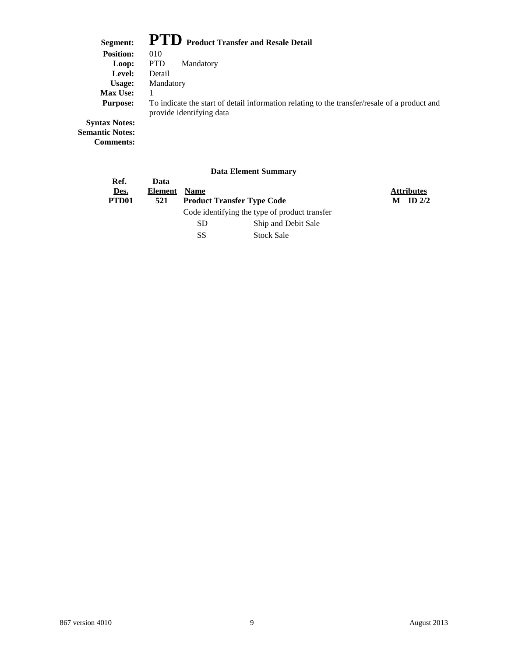## **Segment: PTD Product Transfer and Resale Detail**

| 0.001                | TTOMACC TTMIDICI MINI INCOMIC D'ÉGAL                                                                                     |  |  |
|----------------------|--------------------------------------------------------------------------------------------------------------------------|--|--|
| <b>Position:</b>     | 010                                                                                                                      |  |  |
| Loop:                | <b>PTD</b><br>Mandatory                                                                                                  |  |  |
| Level:               | Detail                                                                                                                   |  |  |
| Usage:               | Mandatory                                                                                                                |  |  |
| <b>Max Use:</b>      |                                                                                                                          |  |  |
| <b>Purpose:</b>      | To indicate the start of detail information relating to the transfer/resale of a product and<br>provide identifying data |  |  |
| <b>Syntax Notes:</b> |                                                                                                                          |  |  |

**Semantic Notes: Comments:**

| Ref.              | Data    |             |                                               |   |                   |
|-------------------|---------|-------------|-----------------------------------------------|---|-------------------|
| Des.              | Element | <b>Name</b> |                                               |   | <b>Attributes</b> |
| PTD <sub>01</sub> | 521     |             | <b>Product Transfer Type Code</b>             | M | ID $2/2$          |
|                   |         |             | Code identifying the type of product transfer |   |                   |
|                   |         | SD.         | Ship and Debit Sale                           |   |                   |
|                   |         | SS          | <b>Stock Sale</b>                             |   |                   |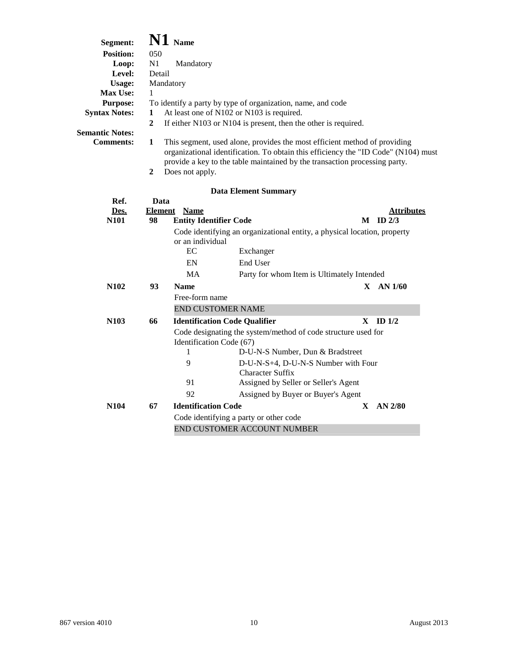| Segment:<br><b>Position:</b><br>Loop:<br>Level:<br>Usage:<br>Max Use:<br><b>Purpose:</b><br><b>Syntax Notes:</b><br><b>Semantic Notes:</b><br><b>Comments:</b> | 050<br>N1<br>Detail<br>1<br>1<br>$\overline{2}$<br>1 | N1 Name<br>Mandatory<br>Mandatory              | To identify a party by type of organization, name, and code<br>At least one of N102 or N103 is required.<br>If either N103 or N104 is present, then the other is required.<br>This segment, used alone, provides the most efficient method of providing<br>organizational identification. To obtain this efficiency the "ID Code" (N104) must<br>provide a key to the table maintained by the transaction processing party. |   |                                   |
|----------------------------------------------------------------------------------------------------------------------------------------------------------------|------------------------------------------------------|------------------------------------------------|-----------------------------------------------------------------------------------------------------------------------------------------------------------------------------------------------------------------------------------------------------------------------------------------------------------------------------------------------------------------------------------------------------------------------------|---|-----------------------------------|
|                                                                                                                                                                | $\boldsymbol{2}$                                     | Does not apply.                                |                                                                                                                                                                                                                                                                                                                                                                                                                             |   |                                   |
|                                                                                                                                                                |                                                      |                                                | <b>Data Element Summary</b>                                                                                                                                                                                                                                                                                                                                                                                                 |   |                                   |
| Ref.                                                                                                                                                           | Data                                                 |                                                |                                                                                                                                                                                                                                                                                                                                                                                                                             |   |                                   |
| Des.<br><b>N101</b>                                                                                                                                            | <b>Element</b><br>98                                 | <b>Name</b><br><b>Entity Identifier Code</b>   |                                                                                                                                                                                                                                                                                                                                                                                                                             |   | <b>Attributes</b><br>$M$ ID $2/3$ |
|                                                                                                                                                                |                                                      | or an individual<br>EC<br>EN<br>MA             | Code identifying an organizational entity, a physical location, property<br>Exchanger<br>End User<br>Party for whom Item is Ultimately Intended                                                                                                                                                                                                                                                                             |   |                                   |
| N <sub>102</sub>                                                                                                                                               | 93                                                   | <b>Name</b>                                    |                                                                                                                                                                                                                                                                                                                                                                                                                             |   | $X$ AN $1/60$                     |
|                                                                                                                                                                |                                                      | Free-form name                                 |                                                                                                                                                                                                                                                                                                                                                                                                                             |   |                                   |
|                                                                                                                                                                |                                                      |                                                | <b>END CUSTOMER NAME</b>                                                                                                                                                                                                                                                                                                                                                                                                    |   |                                   |
| N <sub>10</sub> 3                                                                                                                                              | 66                                                   |                                                | <b>Identification Code Qualifier</b>                                                                                                                                                                                                                                                                                                                                                                                        | X | ID <sub>1/2</sub>                 |
|                                                                                                                                                                |                                                      | Identification Code (67)<br>1<br>9<br>91<br>92 | Code designating the system/method of code structure used for<br>D-U-N-S Number, Dun & Bradstreet<br>D-U-N-S+4, D-U-N-S Number with Four<br><b>Character Suffix</b><br>Assigned by Seller or Seller's Agent<br>Assigned by Buyer or Buyer's Agent                                                                                                                                                                           |   |                                   |
| N <sub>104</sub>                                                                                                                                               | 67                                                   | <b>Identification Code</b>                     |                                                                                                                                                                                                                                                                                                                                                                                                                             | X | $AN$ 2/80                         |
|                                                                                                                                                                |                                                      |                                                | Code identifying a party or other code<br>END CUSTOMER ACCOUNT NUMBER                                                                                                                                                                                                                                                                                                                                                       |   |                                   |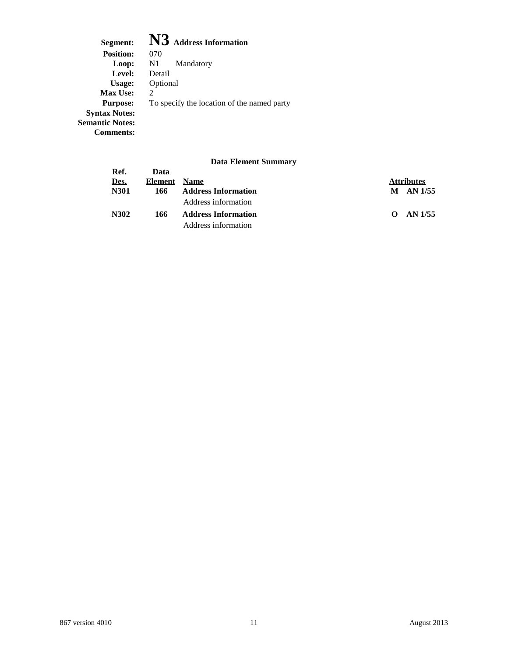**Segment: N3 Address Information** Position: 070<br>Loop: N1 N1 Mandatory<br>Detail Level:<br>Usage: **Optional**<br>2 **Max Use:**<br>**Purpose:** To specify the location of the named party **Syntax Notes: Semantic Notes: Comments:**

| Ref.        | Data    |                            |                   |
|-------------|---------|----------------------------|-------------------|
| <u>Des.</u> | Element | <b>Name</b>                | <b>Attributes</b> |
| <b>N301</b> | 166     | <b>Address Information</b> | $M$ AN 1/55       |
|             |         | Address information        |                   |
| N302        | 166     | <b>Address Information</b> | $O$ AN $1/55$     |
|             |         | Address information        |                   |
|             |         |                            |                   |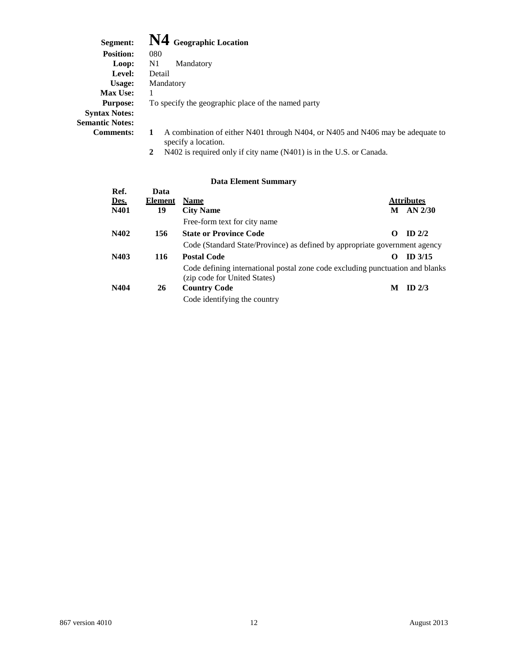| Segment:               | $\mathbf{N4}$ Geographic Location                                                                          |  |  |  |  |
|------------------------|------------------------------------------------------------------------------------------------------------|--|--|--|--|
| <b>Position:</b>       | 080                                                                                                        |  |  |  |  |
| Loop:                  | N1<br>Mandatory                                                                                            |  |  |  |  |
| Level:                 | Detail                                                                                                     |  |  |  |  |
| Usage:                 | Mandatory                                                                                                  |  |  |  |  |
| <b>Max Use:</b>        |                                                                                                            |  |  |  |  |
| <b>Purpose:</b>        | To specify the geographic place of the named party                                                         |  |  |  |  |
| <b>Syntax Notes:</b>   |                                                                                                            |  |  |  |  |
| <b>Semantic Notes:</b> |                                                                                                            |  |  |  |  |
| <b>Comments:</b>       | A combination of either N401 through N404, or N405 and N406 may be adequate to<br>1<br>specify a location. |  |  |  |  |

**2** N402 is required only if city name (N401) is in the U.S. or Canada.

| Ref.        | Data           |                                                                                                               |   |                   |
|-------------|----------------|---------------------------------------------------------------------------------------------------------------|---|-------------------|
| <u>Des.</u> | <b>Element</b> | <b>Name</b>                                                                                                   |   | <b>Attributes</b> |
| N401        | 19             | <b>City Name</b>                                                                                              |   | $M$ AN 2/30       |
|             |                | Free-form text for city name                                                                                  |   |                   |
| N402        | 156            | <b>State or Province Code</b>                                                                                 | 0 | $ID$ 2/2          |
|             |                | Code (Standard State/Province) as defined by appropriate government agency                                    |   |                   |
| N403        | 116            | <b>Postal Code</b>                                                                                            | 0 | $ID$ 3/15         |
|             |                | Code defining international postal zone code excluding punctuation and blanks<br>(zip code for United States) |   |                   |
| N404        | 26             | <b>Country Code</b>                                                                                           | M | ID $2/3$          |
|             |                | Code identifying the country                                                                                  |   |                   |
|             |                |                                                                                                               |   |                   |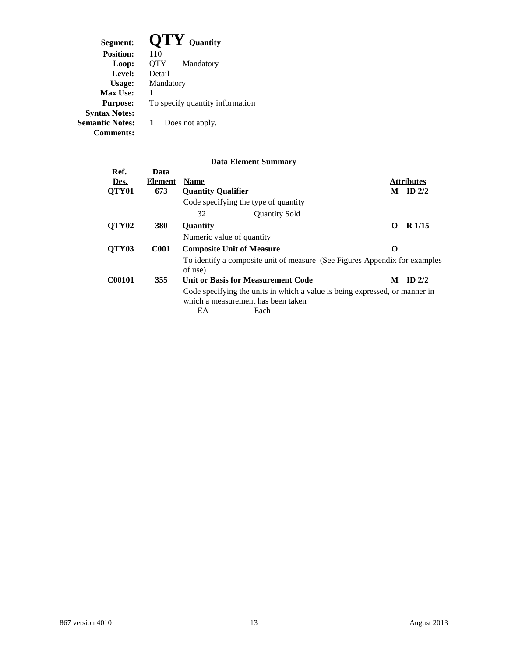| Segment:               | $\bf OTY$ Quantity              |
|------------------------|---------------------------------|
| <b>Position:</b>       | 110                             |
| Loop:                  | QTY<br>Mandatory                |
| Level:                 | Detail                          |
| Usage:                 | Mandatory                       |
| <b>Max Use:</b>        |                                 |
| <b>Purpose:</b>        | To specify quantity information |
| <b>Syntax Notes:</b>   |                                 |
| <b>Semantic Notes:</b> | Does not apply.                 |
| Comments:              |                                 |
|                        |                                 |

| Ref.              | Data           |                                                                                                                   |          |                   |
|-------------------|----------------|-------------------------------------------------------------------------------------------------------------------|----------|-------------------|
| Des.              | <b>Element</b> | <b>Name</b>                                                                                                       |          | <b>Attributes</b> |
| QTY <sub>01</sub> | 673            | <b>Ouantity Oualifier</b>                                                                                         | M        | ID $2/2$          |
|                   |                | Code specifying the type of quantity                                                                              |          |                   |
|                   |                | 32<br><b>Quantity Sold</b>                                                                                        |          |                   |
| QTY <sub>02</sub> | 380            | <b>Quantity</b>                                                                                                   | $\Omega$ | $R$ 1/15          |
|                   |                | Numeric value of quantity                                                                                         |          |                   |
| QTY03             | <b>C001</b>    | <b>Composite Unit of Measure</b>                                                                                  | O        |                   |
|                   |                | To identify a composite unit of measure (See Figures Appendix for examples<br>of use)                             |          |                   |
| C00101            | 355            | Unit or Basis for Measurement Code                                                                                | M        | $ID$ 2/2          |
|                   |                | Code specifying the units in which a value is being expressed, or manner in<br>which a measurement has been taken |          |                   |
|                   |                | EA<br>Each                                                                                                        |          |                   |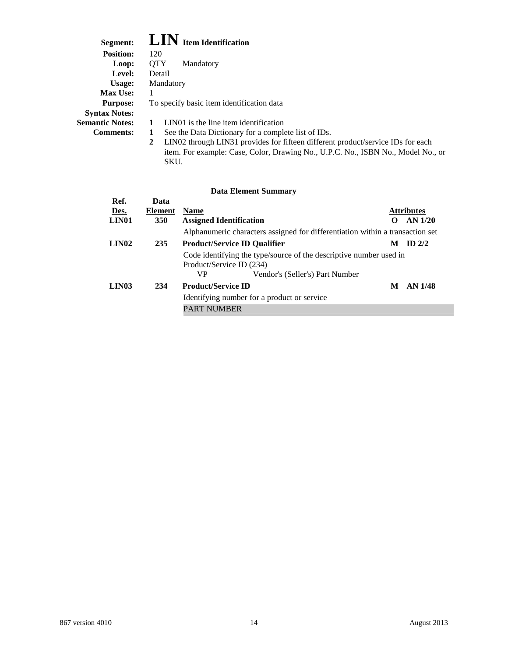| Segment:               | <b>LIN</b> Item Identification                                                       |
|------------------------|--------------------------------------------------------------------------------------|
| <b>Position:</b>       | 120                                                                                  |
| Loop:                  | <b>OTY</b><br>Mandatory                                                              |
| Level:                 | Detail                                                                               |
| Usage:                 | Mandatory                                                                            |
| <b>Max Use:</b>        |                                                                                      |
| <b>Purpose:</b>        | To specify basic item identification data                                            |
| <b>Syntax Notes:</b>   |                                                                                      |
| <b>Semantic Notes:</b> | LIN01 is the line item identification                                                |
| <b>Comments:</b>       | See the Data Dictionary for a complete list of IDs.<br>1                             |
|                        | LIN02 through LIN31 provides for fifteen different product/service IDs for each<br>2 |
|                        | item. For example: Case, Color, Drawing No., U.P.C. No., ISBN No., Model No., or     |

SKU.

| Ref.              | Data           |                                             |                                                                               |                   |                    |
|-------------------|----------------|---------------------------------------------|-------------------------------------------------------------------------------|-------------------|--------------------|
| Des.              | <b>Element</b> | <b>Name</b>                                 |                                                                               |                   | <b>Attributes</b>  |
| LIN <sub>01</sub> | <b>350</b>     | <b>Assigned Identification</b>              |                                                                               | $\mathbf{\Omega}$ | AN 1/20            |
|                   |                |                                             | Alphanumeric characters assigned for differentiation within a transaction set |                   |                    |
| LIN <sub>02</sub> | 235            |                                             | <b>Product/Service ID Qualifier</b>                                           | M                 | $ID$ 2/2           |
|                   |                | Product/Service ID (234)                    | Code identifying the type/source of the descriptive number used in            |                   |                    |
|                   |                | VP.                                         | Vendor's (Seller's) Part Number                                               |                   |                    |
| <b>LIN03</b>      | 234            | <b>Product/Service ID</b>                   |                                                                               | M                 | AN <sub>1/48</sub> |
|                   |                | Identifying number for a product or service |                                                                               |                   |                    |
|                   |                | <b>PART NUMBER</b>                          |                                                                               |                   |                    |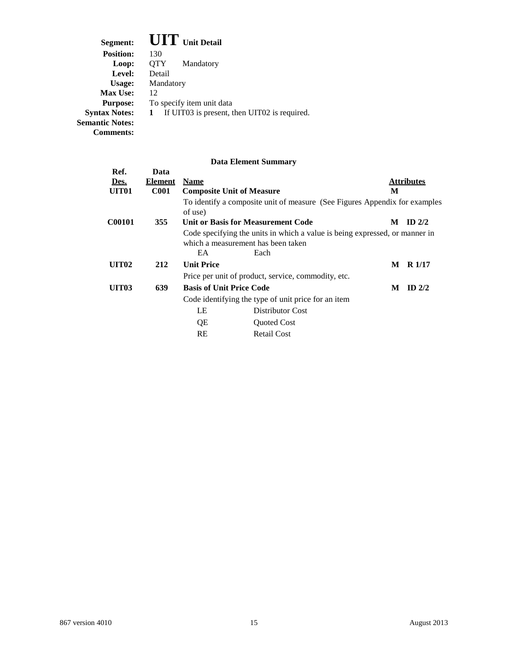| Segment:               | <b>UIT</b> Unit Detail                            |
|------------------------|---------------------------------------------------|
| <b>Position:</b>       | 130                                               |
| Loop:                  | 0TY<br>Mandatory                                  |
| Level:                 | Detail                                            |
| Usage:                 | Mandatory                                         |
| <b>Max Use:</b>        | 12                                                |
| <b>Purpose:</b>        | To specify item unit data                         |
| <b>Syntax Notes:</b>   | If UIT03 is present, then UIT02 is required.<br>1 |
| <b>Semantic Notes:</b> |                                                   |
| Comments:              |                                                   |

| Ref.         | Data           |                                  |                                                                                                                           |   |                   |
|--------------|----------------|----------------------------------|---------------------------------------------------------------------------------------------------------------------------|---|-------------------|
| Des.         | <b>Element</b> | <b>Name</b>                      |                                                                                                                           |   | <b>Attributes</b> |
| <b>UIT01</b> | <b>C001</b>    | <b>Composite Unit of Measure</b> |                                                                                                                           | M |                   |
|              |                | of use)                          | To identify a composite unit of measure (See Figures Appendix for examples                                                |   |                   |
| C00101       | 355            |                                  | Unit or Basis for Measurement Code                                                                                        | M | $ID$ 2/2          |
|              |                | EA                               | Code specifying the units in which a value is being expressed, or manner in<br>which a measurement has been taken<br>Each |   |                   |
| <b>UIT02</b> | 212            | <b>Unit Price</b>                |                                                                                                                           | M | $R$ 1/17          |
|              |                |                                  | Price per unit of product, service, commodity, etc.                                                                       |   |                   |
| <b>UIT03</b> | 639            | <b>Basis of Unit Price Code</b>  |                                                                                                                           | M | $ID$ 2/2          |
|              |                |                                  | Code identifying the type of unit price for an item                                                                       |   |                   |
|              |                | LE                               | Distributor Cost                                                                                                          |   |                   |
|              |                | QE                               | <b>Quoted Cost</b>                                                                                                        |   |                   |
|              |                | RE                               | <b>Retail Cost</b>                                                                                                        |   |                   |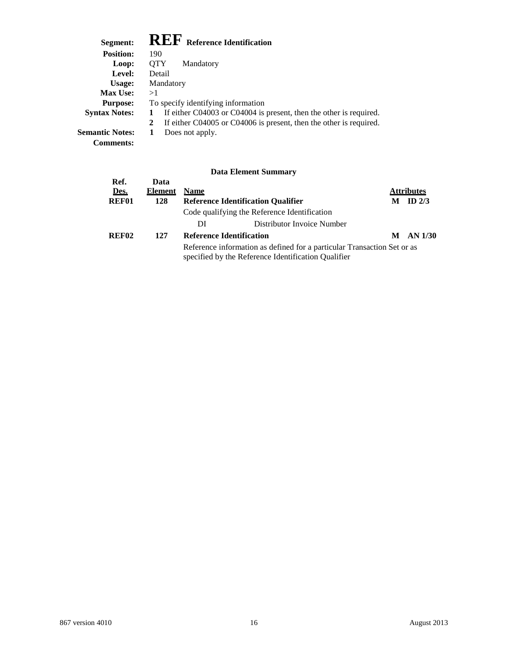## **Segment: REF Reference Identification**

| Segment:               | <b>INLA Reference Identification</b>                               |
|------------------------|--------------------------------------------------------------------|
| <b>Position:</b>       | 190                                                                |
| Loop:                  | <b>OTY</b><br>Mandatory                                            |
| Level:                 | Detail                                                             |
| Usage:                 | Mandatory                                                          |
| <b>Max Use:</b>        | >1                                                                 |
| <b>Purpose:</b>        | To specify identifying information                                 |
| <b>Syntax Notes:</b>   | If either C04003 or C04004 is present, then the other is required. |
|                        | If either C04005 or C04006 is present, then the other is required. |
| <b>Semantic Notes:</b> | Does not apply.                                                    |

**Comments:**

| Ref.              | Data           |             |                                                                                                                                |   |                   |
|-------------------|----------------|-------------|--------------------------------------------------------------------------------------------------------------------------------|---|-------------------|
| Des.              | <b>Element</b> | <b>Name</b> |                                                                                                                                |   | <b>Attributes</b> |
| <b>REF01</b>      | 128            |             | <b>Reference Identification Qualifier</b>                                                                                      | M | ID $2/3$          |
|                   |                |             | Code qualifying the Reference Identification                                                                                   |   |                   |
|                   |                | DI          | Distributor Invoice Number                                                                                                     |   |                   |
| REF <sub>02</sub> | 127            |             | <b>Reference Identification</b>                                                                                                | M | AN 1/30           |
|                   |                |             | Reference information as defined for a particular Transaction Set or as<br>specified by the Reference Identification Qualifier |   |                   |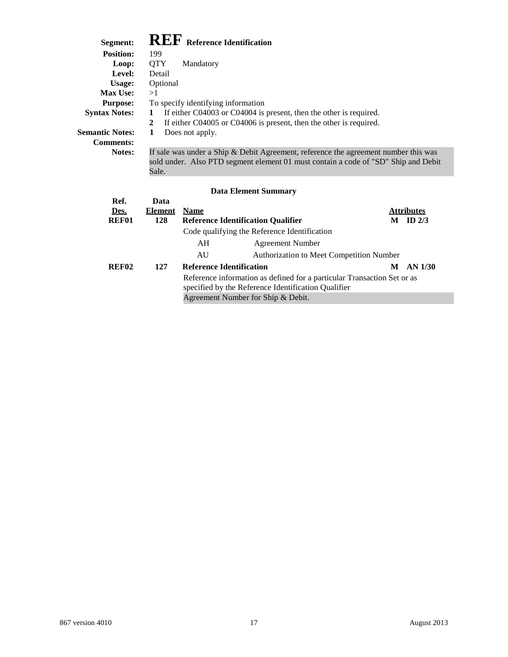## **Segment: REF Reference Identification**

Sale.

| эедшени:               | <b>ANALIA Reference Identification</b>                                                                                                                                       |  |  |  |
|------------------------|------------------------------------------------------------------------------------------------------------------------------------------------------------------------------|--|--|--|
| <b>Position:</b>       | 199                                                                                                                                                                          |  |  |  |
| Loop:                  | <b>OTY</b><br>Mandatory                                                                                                                                                      |  |  |  |
| Level:                 | Detail                                                                                                                                                                       |  |  |  |
| Usage:                 | Optional                                                                                                                                                                     |  |  |  |
| <b>Max Use:</b>        | >1                                                                                                                                                                           |  |  |  |
| <b>Purpose:</b>        | To specify identifying information                                                                                                                                           |  |  |  |
| <b>Syntax Notes:</b>   | If either C04003 or C04004 is present, then the other is required.                                                                                                           |  |  |  |
|                        | If either C04005 or C04006 is present, then the other is required.<br>2                                                                                                      |  |  |  |
| <b>Semantic Notes:</b> | Does not apply.<br>1                                                                                                                                                         |  |  |  |
| <b>Comments:</b>       |                                                                                                                                                                              |  |  |  |
| <b>Notes:</b>          | If sale was under a Ship $\&$ Debit Agreement, reference the agreement number this was<br>sold under. Also PTD segment element 01 must contain a code of "SD" Ship and Debit |  |  |  |

| Ref.<br>Des.      | Data<br><b>Element</b> | <b>Name</b> |                                                                         |   | <b>Attributes</b> |
|-------------------|------------------------|-------------|-------------------------------------------------------------------------|---|-------------------|
| REF01             | 128                    |             | <b>Reference Identification Qualifier</b>                               | M | ID $2/3$          |
|                   |                        |             | Code qualifying the Reference Identification                            |   |                   |
|                   |                        | AH          | <b>Agreement Number</b>                                                 |   |                   |
|                   |                        | AU          | Authorization to Meet Competition Number                                |   |                   |
| REF <sub>02</sub> | 127                    |             | <b>Reference Identification</b>                                         | M | AN 1/30           |
|                   |                        |             | Reference information as defined for a particular Transaction Set or as |   |                   |
|                   |                        |             | specified by the Reference Identification Qualifier                     |   |                   |
|                   |                        |             | Agreement Number for Ship & Debit.                                      |   |                   |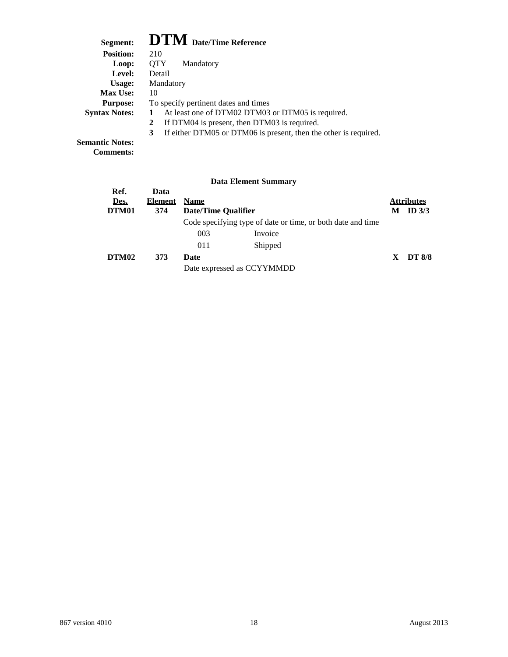| Segment:             | <b>DTM</b> Date/Time Reference                                        |
|----------------------|-----------------------------------------------------------------------|
| <b>Position:</b>     | 210                                                                   |
| Loop:                | <b>OTY</b><br>Mandatory                                               |
| Level:               | Detail                                                                |
| Usage:               | Mandatory                                                             |
| <b>Max Use:</b>      | 10                                                                    |
| <b>Purpose:</b>      | To specify pertinent dates and times                                  |
| <b>Syntax Notes:</b> | At least one of DTM02 DTM03 or DTM05 is required.                     |
|                      | If DTM04 is present, then DTM03 is required.<br>2                     |
|                      | If either DTM05 or DTM06 is present, then the other is required.<br>3 |

**Semantic Notes: Comments:**

| Ref.<br>Des.<br>DTM01 | Data<br><b>Element</b><br>374 | <b>Name</b><br>Date/Time Qualifier |                                                             | M  | <b>Attributes</b><br>ID $3/3$ |
|-----------------------|-------------------------------|------------------------------------|-------------------------------------------------------------|----|-------------------------------|
|                       |                               |                                    | Code specifying type of date or time, or both date and time |    |                               |
|                       |                               | 003                                | Invoice                                                     |    |                               |
|                       |                               | 011                                | Shipped                                                     |    |                               |
| DTM02                 | 373                           | Date                               |                                                             | X. | <b>DT 8/8</b>                 |
|                       |                               |                                    | Date expressed as CCYYMMDD                                  |    |                               |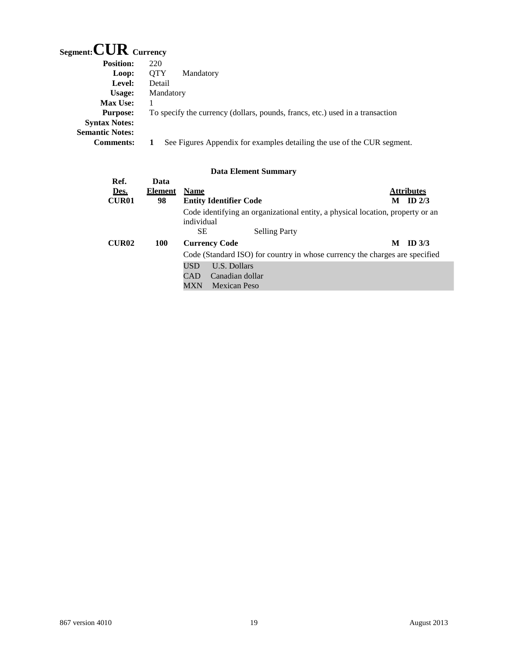## **Segment:CUR Currency**

| <b>Position:</b>       | 220                                                                           |
|------------------------|-------------------------------------------------------------------------------|
| Loop:                  | <b>OTY</b><br>Mandatory                                                       |
| Level:                 | Detail                                                                        |
| Usage:                 | Mandatory                                                                     |
| <b>Max Use:</b>        |                                                                               |
| <b>Purpose:</b>        | To specify the currency (dollars, pounds, francs, etc.) used in a transaction |
| <b>Syntax Notes:</b>   |                                                                               |
| <b>Semantic Notes:</b> |                                                                               |
| <b>Comments:</b>       | See Figures Appendix for examples detailing the use of the CUR segment.       |

| Ref.         | Data           |                                                                                              |                   |
|--------------|----------------|----------------------------------------------------------------------------------------------|-------------------|
| Des.         | <b>Element</b> | <b>Name</b>                                                                                  | <b>Attributes</b> |
| <b>CUR01</b> | 98             | <b>Entity Identifier Code</b>                                                                | ID $2/3$<br>М     |
|              |                | Code identifying an organizational entity, a physical location, property or an<br>individual |                   |
|              |                | <b>Selling Party</b><br><b>SE</b>                                                            |                   |
| <b>CUR02</b> | <b>100</b>     | <b>Currency Code</b>                                                                         | ID $3/3$<br>M     |
|              |                | Code (Standard ISO) for country in whose currency the charges are specified                  |                   |
|              |                | USD<br>U.S. Dollars                                                                          |                   |
|              |                | Canadian dollar<br>CAD                                                                       |                   |
|              |                | MXN<br>Mexican Peso                                                                          |                   |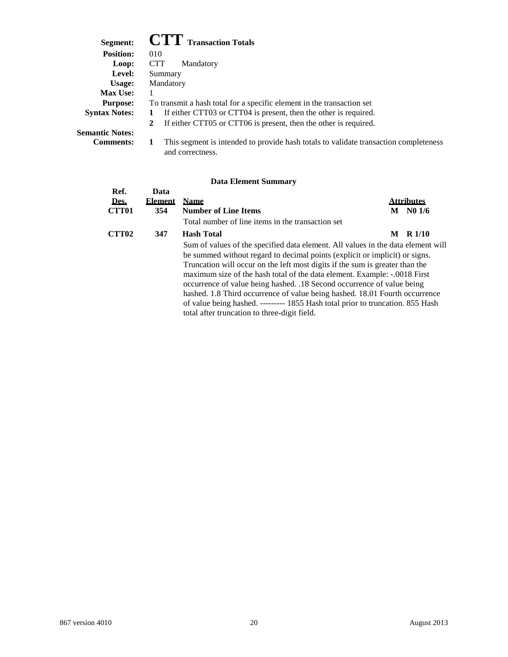| Segment:               | <b>CTT</b> Transaction Totals                                                                            |
|------------------------|----------------------------------------------------------------------------------------------------------|
| <b>Position:</b>       | 010                                                                                                      |
| Loop:                  | <b>CTT</b><br>Mandatory                                                                                  |
| Level:                 | Summary                                                                                                  |
| Usage:                 | Mandatory                                                                                                |
| <b>Max Use:</b>        |                                                                                                          |
| <b>Purpose:</b>        | To transmit a hash total for a specific element in the transaction set                                   |
| <b>Syntax Notes:</b>   | If either CTT03 or CTT04 is present, then the other is required.<br>1                                    |
|                        | If either CTT05 or CTT06 is present, then the other is required.<br>$2^{\circ}$                          |
| <b>Semantic Notes:</b> |                                                                                                          |
| <b>Comments:</b>       | This segment is intended to provide hash totals to validate transaction completeness<br>and correctness. |

| Ref.              | Data           |                                                                                                                                                                                                                                                                                                                                                                                                                                                                                                                                                                                                                         |   |                   |
|-------------------|----------------|-------------------------------------------------------------------------------------------------------------------------------------------------------------------------------------------------------------------------------------------------------------------------------------------------------------------------------------------------------------------------------------------------------------------------------------------------------------------------------------------------------------------------------------------------------------------------------------------------------------------------|---|-------------------|
| Des.              | <b>Element</b> | <b>Name</b>                                                                                                                                                                                                                                                                                                                                                                                                                                                                                                                                                                                                             |   | <b>Attributes</b> |
| <b>CTT01</b>      | 354            | <b>Number of Line Items</b>                                                                                                                                                                                                                                                                                                                                                                                                                                                                                                                                                                                             | M | N01/6             |
|                   |                | Total number of line items in the transaction set                                                                                                                                                                                                                                                                                                                                                                                                                                                                                                                                                                       |   |                   |
| CTT <sub>02</sub> | 347            | <b>Hash Total</b>                                                                                                                                                                                                                                                                                                                                                                                                                                                                                                                                                                                                       | M | R <sub>1/10</sub> |
|                   |                | Sum of values of the specified data element. All values in the data element will<br>be summed without regard to decimal points (explicit or implicit) or signs.<br>Truncation will occur on the left most digits if the sum is greater than the<br>maximum size of the hash total of the data element. Example: -.0018 First<br>occurrence of value being hashed. .18 Second occurrence of value being<br>hashed. 1.8 Third occurrence of value being hashed. 18.01 Fourth occurrence<br>of value being hashed. --------- 1855 Hash total prior to truncation. 855 Hash<br>total after truncation to three-digit field. |   |                   |